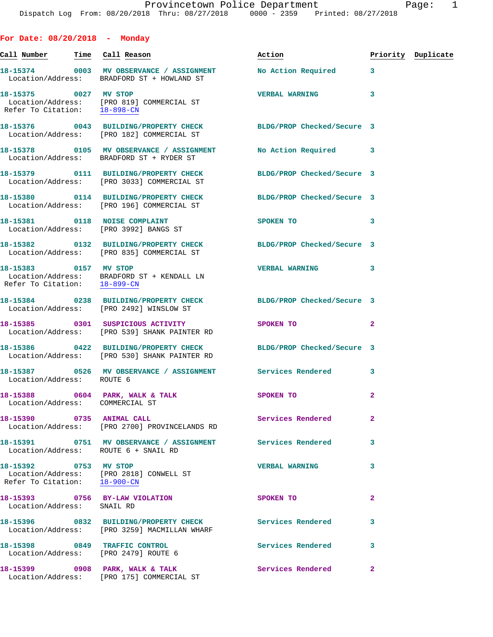|            | rage. |
|------------|-------|
| 08/27/2018 |       |

|  |  | For Date: 08/20/2018 |  | Monday |
|--|--|----------------------|--|--------|
|--|--|----------------------|--|--------|

| Call Number                                           | Time Call Reason                                                                                                 | Action                     |                | Priority Duplicate |
|-------------------------------------------------------|------------------------------------------------------------------------------------------------------------------|----------------------------|----------------|--------------------|
|                                                       | 18-15374 0003 MV OBSERVANCE / ASSIGNMENT<br>Location/Address: BRADFORD ST + HOWLAND ST                           | No Action Required 3       |                |                    |
| 18-15375 0027 MV STOP                                 | Location/Address: [PRO 819] COMMERCIAL ST<br>Refer To Citation: 18-898-CN                                        | <b>VERBAL WARNING</b>      | 3              |                    |
|                                                       | 18-15376 0043 BUILDING/PROPERTY CHECK BLDG/PROP Checked/Secure 3<br>Location/Address: [PRO 182] COMMERCIAL ST    |                            |                |                    |
|                                                       | 18-15378 0105 MV OBSERVANCE / ASSIGNMENT<br>Location/Address: BRADFORD ST + RYDER ST                             | No Action Required 3       |                |                    |
|                                                       | 18-15379 0111 BUILDING/PROPERTY CHECK<br>Location/Address: [PRO 3033] COMMERCIAL ST                              | BLDG/PROP Checked/Secure 3 |                |                    |
|                                                       | 18-15380 0114 BUILDING/PROPERTY CHECK BLDG/PROP Checked/Secure 3<br>Location/Address: [PRO 196] COMMERCIAL ST    |                            |                |                    |
|                                                       | 18-15381 0118 NOISE COMPLAINT<br>Location/Address: [PRO 3992] BANGS ST                                           | SPOKEN TO                  | 3              |                    |
|                                                       | 18-15382 0132 BUILDING/PROPERTY CHECK BLDG/PROP Checked/Secure 3<br>Location/Address: [PRO 835] COMMERCIAL ST    |                            |                |                    |
| 18-15383 0157 MV STOP<br>Refer To Citation: 18-899-CN | Location/Address: BRADFORD ST + KENDALL LN                                                                       | VERBAL WARNING 3           |                |                    |
|                                                       | 18-15384 0238 BUILDING/PROPERTY CHECK BLDG/PROP Checked/Secure 3<br>Location/Address: [PRO 2492] WINSLOW ST      |                            |                |                    |
|                                                       | 18-15385 0301 SUSPICIOUS ACTIVITY<br>Location/Address: [PRO 539] SHANK PAINTER RD                                | SPOKEN TO                  | $\overline{2}$ |                    |
|                                                       | 18-15386 0422 BUILDING/PROPERTY CHECK BLDG/PROP Checked/Secure 3<br>Location/Address: [PRO 530] SHANK PAINTER RD |                            |                |                    |
| Location/Address: ROUTE 6                             | 18-15387 0526 MV OBSERVANCE / ASSIGNMENT Services Rendered                                                       |                            | 3              |                    |
| Location/Address: COMMERCIAL ST                       | 18-15388 0604 PARK, WALK & TALK                                                                                  | SPOKEN TO                  | $\overline{2}$ |                    |
| 18-15390 0735 ANIMAL CALL                             | Location/Address: [PRO 2700] PROVINCELANDS RD                                                                    | <b>Services Rendered</b>   | $\mathbf{2}$   |                    |
|                                                       | 18-15391 0751 MV OBSERVANCE / ASSIGNMENT Services Rendered<br>Location/Address: ROUTE 6 + SNAIL RD               |                            | 3              |                    |
| 18-15392 0753 MV STOP                                 | Location/Address: [PRO 2818] CONWELL ST<br>Refer To Citation: 18-900-CN                                          | <b>VERBAL WARNING</b>      | 3              |                    |
| Location/Address: SNAIL RD                            | 18-15393 0756 BY-LAW VIOLATION                                                                                   | SPOKEN TO                  | 2              |                    |
|                                                       | 18-15396 0832 BUILDING/PROPERTY CHECK<br>Location/Address: [PRO 3259] MACMILLAN WHARF                            | Services Rendered          | 3              |                    |
|                                                       | 18-15398 0849 TRAFFIC CONTROL<br>Location/Address: [PRO 2479] ROUTE 6                                            | <b>Services Rendered</b>   | 3              |                    |
|                                                       | 18-15399 0908 PARK, WALK & TALK<br>Location/Address: [PRO 175] COMMERCIAL ST                                     | Services Rendered          | $\mathbf{2}$   |                    |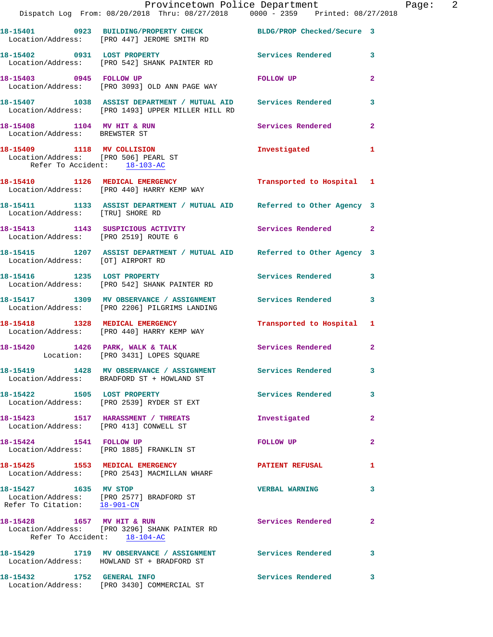|                                                                      | Provincetown Police Department<br>Dispatch Log From: 08/20/2018 Thru: 08/27/2018 0000 - 2359 Printed: 08/27/2018    |                           |                |
|----------------------------------------------------------------------|---------------------------------------------------------------------------------------------------------------------|---------------------------|----------------|
|                                                                      | 18-15401 0923 BUILDING/PROPERTY CHECK BLDG/PROP Checked/Secure 3<br>Location/Address: [PRO 447] JEROME SMITH RD     |                           |                |
|                                                                      | 18-15402 0931 LOST PROPERTY<br>Location/Address: [PRO 542] SHANK PAINTER RD                                         | Services Rendered         | 3              |
|                                                                      | 18-15403 0945 FOLLOW UP<br>Location/Address: [PRO 3093] OLD ANN PAGE WAY                                            | FOLLOW UP                 | $\overline{2}$ |
|                                                                      | 18-15407 1038 ASSIST DEPARTMENT / MUTUAL AID Services Rendered<br>Location/Address: [PRO 1493] UPPER MILLER HILL RD |                           | 3              |
| 18-15408 1104 MV HIT & RUN<br>Location/Address: BREWSTER ST          |                                                                                                                     | Services Rendered         | $\overline{2}$ |
| Location/Address: [PRO 506] PEARL ST<br>Refer To Accident: 18-103-AC | 18-15409 1118 MV COLLISION                                                                                          | Investigated              | 1              |
|                                                                      | 18-15410 1126 MEDICAL EMERGENCY<br>Location/Address: [PRO 440] HARRY KEMP WAY                                       | Transported to Hospital 1 |                |
| Location/Address: [TRU] SHORE RD                                     | 18-15411 1133 ASSIST DEPARTMENT / MUTUAL AID Referred to Other Agency 3                                             |                           |                |
| Location/Address: [PRO 2519] ROUTE 6                                 | 18-15413 1143 SUSPICIOUS ACTIVITY                                                                                   | Services Rendered         | $\mathbf{2}$   |
| Location/Address: [OT] AIRPORT RD                                    | 18-15415 1207 ASSIST DEPARTMENT / MUTUAL AID Referred to Other Agency 3                                             |                           |                |
| 18-15416 1235 LOST PROPERTY                                          | Location/Address: [PRO 542] SHANK PAINTER RD                                                                        | Services Rendered         | 3              |
|                                                                      | 18-15417 1309 MV OBSERVANCE / ASSIGNMENT Services Rendered<br>Location/Address: [PRO 2206] PILGRIMS LANDING         |                           | 3              |
| 18-15418 1328 MEDICAL EMERGENCY                                      | Location/Address: [PRO 440] HARRY KEMP WAY                                                                          | Transported to Hospital   | 1              |
|                                                                      | 18-15420 1426 PARK, WALK & TALK<br>Location: [PRO 3431] LOPES SQUARE                                                | Services Rendered         | $\mathbf{2}$   |
|                                                                      | 18-15419 1428 MV OBSERVANCE / ASSIGNMENT Services Rendered<br>Location/Address: BRADFORD ST + HOWLAND ST            |                           | 3              |
|                                                                      | 18-15422 1505 LOST PROPERTY<br>Location/Address: [PRO 2539] RYDER ST EXT                                            | Services Rendered         | 3              |
|                                                                      | 18-15423 1517 HARASSMENT / THREATS<br>Location/Address: [PRO 413] CONWELL ST                                        | Investigated              | $\mathbf{2}$   |
|                                                                      | 18-15424 1541 FOLLOW UP<br>Location/Address: [PRO 1885] FRANKLIN ST                                                 | <b>FOLLOW UP</b>          | $\mathbf{2}$   |
|                                                                      | 18-15425 1553 MEDICAL EMERGENCY<br>Location/Address: [PRO 2543] MACMILLAN WHARF                                     | <b>PATIENT REFUSAL</b>    | 1              |
| 18-15427 1635 MV STOP                                                | Location/Address: [PRO 2577] BRADFORD ST<br>Refer To Citation: 18-901-CN                                            | <b>VERBAL WARNING</b>     | 3              |
| 18-15428 1657 MV HIT & RUN                                           | Location/Address: [PRO 3296] SHANK PAINTER RD<br>Refer To Accident: 18-104-AC                                       | Services Rendered         | 2              |
|                                                                      | 18-15429 1719 MV OBSERVANCE / ASSIGNMENT Services Rendered<br>Location/Address: HOWLAND ST + BRADFORD ST            |                           | 3              |
| 18-15432 1752 GENERAL INFO                                           | Location/Address: [PRO 3430] COMMERCIAL ST                                                                          | <b>Services Rendered</b>  | 3              |

Page:  $2$ <br> $18$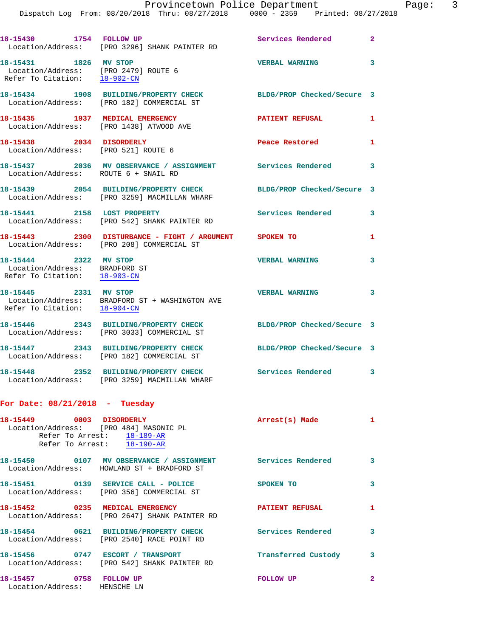Dispatch Log From: 08/20/2018 Thru: 08/27/2018 0000 - 2359 Printed: 08/27/2018

|                                                                                               | 18-15430 1754 FOLLOW UP<br>Location/Address: [PRO 3296] SHANK PAINTER RD                                      | Services Rendered          | $\overline{2}$ |
|-----------------------------------------------------------------------------------------------|---------------------------------------------------------------------------------------------------------------|----------------------------|----------------|
| 18-15431 1826 MV STOP<br>Location/Address: [PRO 2479] ROUTE 6<br>Refer To Citation: 18-902-CN |                                                                                                               | <b>VERBAL WARNING</b>      | 3              |
|                                                                                               | 18-15434 1908 BUILDING/PROPERTY CHECK BLDG/PROP Checked/Secure 3<br>Location/Address: [PRO 182] COMMERCIAL ST |                            |                |
|                                                                                               | 18-15435 1937 MEDICAL EMERGENCY<br>Location/Address: [PRO 1438] ATWOOD AVE                                    | PATIENT REFUSAL            | 1              |
| 18-15438 2034 DISORDERLY<br>Location/Address: [PRO 521] ROUTE 6                               |                                                                                                               | Peace Restored             | 1              |
| Location/Address: ROUTE 6 + SNAIL RD                                                          | 18-15437 2036 MV OBSERVANCE / ASSIGNMENT Services Rendered                                                    |                            | 3              |
|                                                                                               | 18-15439 2054 BUILDING/PROPERTY CHECK<br>Location/Address: [PRO 3259] MACMILLAN WHARF                         | BLDG/PROP Checked/Secure 3 |                |
| 18-15441 2158 LOST PROPERTY                                                                   | Location/Address: [PRO 542] SHANK PAINTER RD                                                                  | Services Rendered          | 3              |
|                                                                                               | 18-15443 2300 DISTURBANCE - FIGHT / ARGUMENT SPOKEN TO<br>Location/Address: [PRO 208] COMMERCIAL ST           |                            | 1              |
| 18-15444 2322 MV STOP<br>Location/Address: BRADFORD ST<br>Refer To Citation: 18-903-CN        |                                                                                                               | <b>VERBAL WARNING</b>      | 3              |
| 18-15445 2331 MV STOP                                                                         | Location/Address: BRADFORD ST + WASHINGTON AVE<br>Refer To Citation: $18-904-CN$                              | <b>VERBAL WARNING</b>      | 3              |
|                                                                                               | 18-15446 2343 BUILDING/PROPERTY CHECK<br>Location/Address: [PRO 3033] COMMERCIAL ST                           | BLDG/PROP Checked/Secure 3 |                |
|                                                                                               | 18-15447 2343 BUILDING/PROPERTY CHECK<br>Location/Address: [PRO 182] COMMERCIAL ST                            | BLDG/PROP Checked/Secure 3 |                |
|                                                                                               | 18-15448 2352 BUILDING/PROPERTY CHECK<br>Location/Address: [PRO 3259] MACMILLAN WHARF                         | Services Rendered          | 3              |
| For Date: $08/21/2018$ - Tuesday                                                              |                                                                                                               |                            |                |
| 18-15449 0003 DISORDERLY                                                                      | Location/Address: [PRO 484] MASONIC PL<br>Refer To Arrest: $18-189-AR$<br>Refer To Arrest: 18-190-AR          | Arrest(s) Made             | $\mathbf{1}$   |
|                                                                                               | 18-15450 0107 MV OBSERVANCE / ASSIGNMENT Services Rendered<br>Location/Address: HOWLAND ST + BRADFORD ST      |                            | 3              |
|                                                                                               | 18-15451 0139 SERVICE CALL - POLICE<br>Location/Address: [PRO 356] COMMERCIAL ST                              | SPOKEN TO                  | 3              |
|                                                                                               | 18-15452 0235 MEDICAL EMERGENCY<br>Location/Address: [PRO 2647] SHANK PAINTER RD                              | <b>PATIENT REFUSAL</b>     | $\mathbf{1}$   |
|                                                                                               | 18-15454 0621 BUILDING/PROPERTY CHECK<br>Location/Address: [PRO 2540] RACE POINT RD                           | <b>Services Rendered</b>   | 3              |
|                                                                                               | 18-15456 0747 ESCORT / TRANSPORT<br>Location/Address: [PRO 542] SHANK PAINTER RD                              | Transferred Custody 3      |                |
| 18-15457 0758 FOLLOW UP<br>Location/Address: HENSCHE LN                                       |                                                                                                               | FOLLOW UP                  | $\mathbf{2}$   |
|                                                                                               |                                                                                                               |                            |                |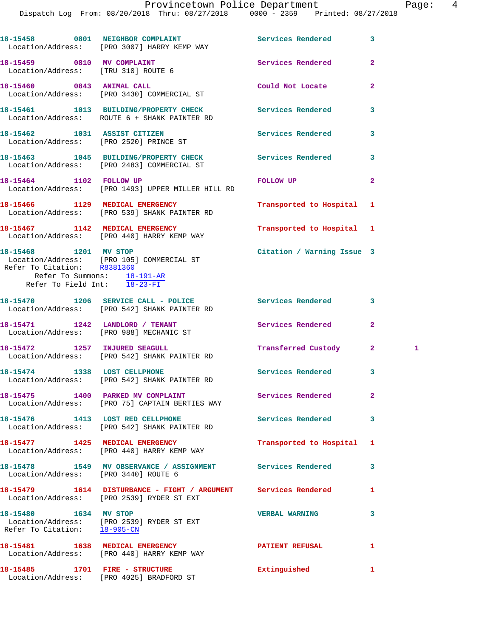Dispatch Log From: 08/20/2018 Thru: 08/27/2018 0000 - 2359 Printed: 08/27/2018

| 18-15458<br>0801 |      | NEIGHBOR COMPLAINT<br>Location/Address: [PRO 3007] HARRY KEMP WAY               | Services Rendered | 3              |
|------------------|------|---------------------------------------------------------------------------------|-------------------|----------------|
| 18-15459         | 0810 | MV COMPLAINT<br>Location/Address: [TRU 310] ROUTE 6                             | Services Rendered | $\overline{2}$ |
| 18-15460         | 0843 | <b>ANIMAL CALL</b><br>Location/Address: [PRO 3430] COMMERCIAL ST                | Could Not Locate  | 2              |
| 18-15461         |      | 1013 BUILDING/PROPERTY CHECK<br>Location/Address:    ROUTE 6 + SHANK PAINTER RD | Services Rendered | 3              |
| 18-15462         |      | 1031 ASSIST CITIZEN<br>Location/Address: [PRO 2520] PRINCE ST                   | Services Rendered | 3              |
| 18-15463         | 1045 | <b>BUILDING/PROPERTY CHECK</b>                                                  | Services Rendered | 3              |

Location/Address: [PRO 2483] COMMERCIAL ST

**18-15464 1102 FOLLOW UP FOLLOW UP 2**  Location/Address: [PRO 1493] UPPER MILLER HILL RD

Location/Address: [PRO 440] HARRY KEMP WAY

**18-15466 1129 MEDICAL EMERGENCY Transported to Hospital 1**  Location/Address: [PRO 539] SHANK PAINTER RD **18-15467 1142 MEDICAL EMERGENCY Transported to Hospital 1** 

**18-15468 1201 MV STOP Citation / Warning Issue 3**  Location/Address: [PRO 105] COMMERCIAL ST Refer To Citation: R8381360 Refer To Summons: 18-191-AR Refer To Field Int: 18-23-FI

| 18-15470 |      | 1206 SERVICE CALL - POLICE<br>Location/Address: [PRO 542] SHANK PAINTER RD | Services Rendered   |                         |  |
|----------|------|----------------------------------------------------------------------------|---------------------|-------------------------|--|
| 18-15471 | 1242 | LANDLORD / TENANT<br>Location/Address: [PRO 988] MECHANIC ST               | Services Rendered   | 2                       |  |
| 18-15472 | 1257 | INJURED SEAGULL<br>Location/Address: [PRO 542] SHANK PAINTER RD            | Transferred Custody | $\overline{\mathbf{2}}$ |  |

**18-15474 1338 LOST CELLPHONE Services Rendered 3**  Location/Address: [PRO 542] SHANK PAINTER RD

18-15475 1400 PARKED MV COMPLAINT **18-15475** Services Rendered 2 Location/Address: [PRO 75] CAPTAIN BERTIES WAY

**18-15476 1413 LOST RED CELLPHONE Services Rendered 3**  Location/Address: [PRO 542] SHANK PAINTER RD

**18-15477 1425 MEDICAL EMERGENCY Transported to Hospital 1**  Location/Address: [PRO 440] HARRY KEMP WAY

**18-15478 1549 MV OBSERVANCE / ASSIGNMENT Services Rendered 3**  Location/Address: [PRO 3440] ROUTE 6

**18-15479 1614 DISTURBANCE - FIGHT / ARGUMENT Services Rendered 1**  Location/Address: [PRO 2539] RYDER ST EXT

**18-15480 1634 MV STOP VERBAL WARNING 3**  Location/Address: [PRO 2539] RYDER ST EXT Refer To Citation: 18-905-CN

**18-15481 1638 MEDICAL EMERGENCY PATIENT REFUSAL 1**  Location/Address: [PRO 440] HARRY KEMP WAY

**18-15485 1701 FIRE - STRUCTURE Extinguished 1**  Location/Address: [PRO 4025] BRADFORD ST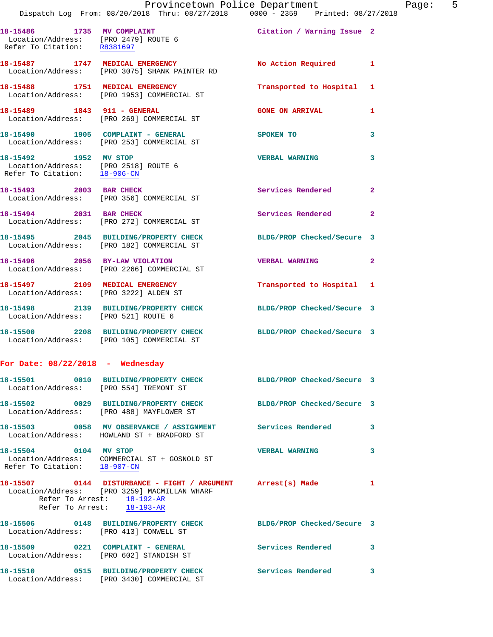|                                                                     | Provincetown Police Department<br>Dispatch Log From: 08/20/2018 Thru: 08/27/2018 0000 - 2359 Printed: 08/27/2018                                                        |                            |              |
|---------------------------------------------------------------------|-------------------------------------------------------------------------------------------------------------------------------------------------------------------------|----------------------------|--------------|
| Location/Address: [PRO 2479] ROUTE 6<br>Refer To Citation: R8381697 | 18-15486 1735 MV COMPLAINT COMO Citation / Warning Issue 2                                                                                                              |                            |              |
|                                                                     | 18-15487 1747 MEDICAL EMERGENCY<br>Location/Address: [PRO 3075] SHANK PAINTER RD                                                                                        | No Action Required         | 1            |
|                                                                     | 18-15488 1751 MEDICAL EMERGENCY<br>Location/Address: [PRO 1953] COMMERCIAL ST                                                                                           | Transported to Hospital    | 1            |
| 18-15489 1843 911 - GENERAL                                         | Location/Address: [PRO 269] COMMERCIAL ST                                                                                                                               | <b>GONE ON ARRIVAL</b>     | 1            |
|                                                                     | 18-15490 1905 COMPLAINT - GENERAL<br>Location/Address: [PRO 253] COMMERCIAL ST                                                                                          | <b>SPOKEN TO</b>           | 3            |
| 18-15492 1952 MV STOP                                               | Location/Address: [PRO 2518] ROUTE 6<br>Refer To Citation: $\frac{18-906-CN}{\ }$                                                                                       | <b>VERBAL WARNING</b>      | 3            |
| 18-15493 2003 BAR CHECK                                             | Location/Address: [PRO 356] COMMERCIAL ST                                                                                                                               | Services Rendered          | $\mathbf{2}$ |
|                                                                     | 18-15494 2031 BAR CHECK<br>Location/Address: [PRO 272] COMMERCIAL ST                                                                                                    | <b>Services Rendered</b>   | $\mathbf{2}$ |
|                                                                     | 18-15495 2045 BUILDING/PROPERTY CHECK BLDG/PROP Checked/Secure 3<br>Location/Address: [PRO 182] COMMERCIAL ST                                                           |                            |              |
|                                                                     | 18-15496 2056 BY-LAW VIOLATION<br>Location/Address: [PRO 2266] COMMERCIAL ST                                                                                            | <b>VERBAL WARNING</b>      | $\mathbf{2}$ |
|                                                                     | 18-15497 2109 MEDICAL EMERGENCY<br>Location/Address: [PRO 3222] ALDEN ST                                                                                                | Transported to Hospital 1  |              |
|                                                                     | 18-15498 2139 BUILDING/PROPERTY CHECK BLDG/PROP Checked/Secure 3<br>Location/Address: [PRO 521] ROUTE 6                                                                 |                            |              |
|                                                                     | 18-15500 2208 BUILDING/PROPERTY CHECK BLDG/PROP Checked/Secure 3<br>Location/Address: [PRO 105] COMMERCIAL ST                                                           |                            |              |
| For Date: $08/22/2018$ - Wednesday                                  |                                                                                                                                                                         |                            |              |
| Location/Address: [PRO 554] TREMONT ST                              | 18-15501 0010 BUILDING/PROPERTY CHECK BLDG/PROP Checked/Secure 3                                                                                                        |                            |              |
|                                                                     | 18-15502 0029 BUILDING/PROPERTY CHECK<br>Location/Address: [PRO 488] MAYFLOWER ST                                                                                       | BLDG/PROP Checked/Secure 3 |              |
|                                                                     | 18-15503 0058 MV OBSERVANCE / ASSIGNMENT Services Rendered<br>Location/Address: HOWLAND ST + BRADFORD ST                                                                |                            | 3            |
| 18-15504 0104 MV STOP                                               | Location/Address: COMMERCIAL ST + GOSNOLD ST<br>Refer To Citation: $\frac{18-907-CN}{\pi}$                                                                              | <b>VERBAL WARNING</b>      | 3            |
|                                                                     | 18-15507 0144 DISTURBANCE - FIGHT / ARGUMENT Arrest(s) Made<br>Location/Address: [PRO 3259] MACMILLAN WHARF<br>Refer To Arrest: 18-192-AR<br>Refer To Arrest: 18-193-AR |                            | 1            |
| Location/Address: [PRO 413] CONWELL ST                              | 18-15506 0148 BUILDING/PROPERTY CHECK BLDG/PROP Checked/Secure 3                                                                                                        |                            |              |
|                                                                     | 18-15509 0221 COMPLAINT - GENERAL<br>Location/Address: [PRO 602] STANDISH ST                                                                                            | <b>Services Rendered</b>   | 3            |

**18-15510 0515 BUILDING/PROPERTY CHECK Services Rendered 3** 

Location/Address: [PRO 3430] COMMERCIAL ST

Page: 5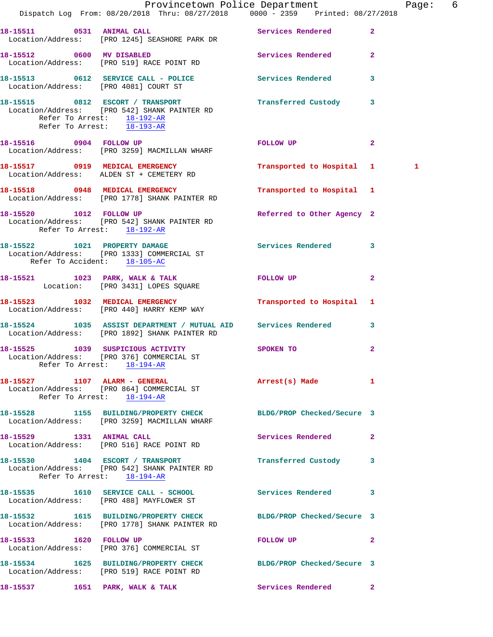|                           | Dispatch Log From: 08/20/2018 Thru: 08/27/2018 0000 - 2359 Printed: 08/27/2018                                                                                                | Provincetown Police Department Page: 6 |              |
|---------------------------|-------------------------------------------------------------------------------------------------------------------------------------------------------------------------------|----------------------------------------|--------------|
|                           |                                                                                                                                                                               |                                        |              |
|                           | 18-15511 0531 ANIMAL CALL Services Rendered 2<br>Location/Address: [PRO 1245] SEASHORE PARK DR                                                                                |                                        |              |
|                           | 18-15512 0600 MV DISABLED Services Rendered 2<br>Location/Address: [PRO 519] RACE POINT RD                                                                                    |                                        |              |
|                           | 18-15513    0612    SERVICE    CALL - POLICE    Services Rendered    3<br>Location/Address: [PRO 4081] COURT ST                                                               |                                        |              |
|                           | 18-15515 0812 ESCORT / TRANSPORT <b>Example 18-15515</b> 18-15515<br>Location/Address: [PRO 542] SHANK PAINTER RD<br>Refer To Arrest: 18-192-AR<br>Refer To Arrest: 18-193-AR |                                        |              |
|                           | 18-15516 0904 FOLLOW UP<br>Location/Address: [PRO 3259] MACMILLAN WHARF                                                                                                       | FOLLOW UP 2                            |              |
|                           | 18-15517 0919 MEDICAL EMERGENCY<br>Location/Address: ALDEN ST + CEMETERY RD                                                                                                   | Transported to Hospital 1              | 1            |
|                           | 18-15518 0948 MEDICAL EMERGENCY<br>Location/Address: [PRO 1778] SHANK PAINTER RD                                                                                              | Transported to Hospital 1              |              |
|                           | 18-15520 1012 FOLLOW UP<br>Location/Address: [PRO 542] SHANK PAINTER RD<br>Refer To Arrest: 18-192-AR                                                                         | Referred to Other Agency 2             |              |
|                           | 18-15522 1021 PROPERTY DAMAGE<br>Location/Address: [PRO 1333] COMMERCIAL ST<br>Refer To Accident: 18-105-AC                                                                   | Services Rendered 3                    |              |
|                           | 18-15521 1023 PARK, WALK & TALK 6 FOLLOW UP 2<br>Location: [PRO 3431] LOPES SQUARE                                                                                            |                                        |              |
|                           | 18-15523 1032 MEDICAL EMERGENCY<br>Location/Address: [PRO 440] HARRY KEMP WAY                                                                                                 | Transported to Hospital 1              |              |
|                           | 18-15524 1035 ASSIST DEPARTMENT / MUTUAL AID Services Rendered 3<br>Location/Address: [PRO 1892] SHANK PAINTER RD                                                             |                                        |              |
|                           | 18-15525 1039 SUSPICIOUS ACTIVITY<br>Location/Address: [PRO 376] COMMERCIAL ST<br>Refer To Arrest: 18-194-AR                                                                  | SPOKEN TO                              | 2            |
|                           | 18-15527 1107 ALARM - GENERAL<br>Location/Address: [PRO 864] COMMERCIAL ST<br>Refer To Arrest: 18-194-AR                                                                      | Arrest(s) Made 1                       |              |
|                           | 18-15528 1155 BUILDING/PROPERTY CHECK BLDG/PROP Checked/Secure 3<br>Location/Address: [PRO 3259] MACMILLAN WHARF                                                              |                                        |              |
| 18-15529 1331 ANIMAL CALL | Location/Address: [PRO 516] RACE POINT RD                                                                                                                                     | Services Rendered 2                    |              |
|                           | 18-15530 1404 ESCORT / TRANSPORT<br>Location/Address: [PRO 542] SHANK PAINTER RD<br>Refer To Arrest: 18-194-AR                                                                | Transferred Custody 3                  |              |
|                           | 18-15535   1610   SERVICE CALL - SCHOOL<br>Location/Address: [PRO 488] MAYFLOWER ST                                                                                           | Services Rendered                      | 3            |
|                           | 18-15532 1615 BUILDING/PROPERTY CHECK BLDG/PROP Checked/Secure 3<br>Location/Address: [PRO 1778] SHANK PAINTER RD                                                             |                                        |              |
| 18-15533 1620 FOLLOW UP   | Location/Address: [PRO 376] COMMERCIAL ST                                                                                                                                     | FOLLOW UP                              | $\mathbf{2}$ |
|                           | 1625 BUILDING/PROPERTY CHECK BLDG/PROP Checked/Secure 3<br>Location/Address: [PRO 519] RACE POINT RD                                                                          |                                        |              |
|                           | 18-15537 1651 PARK, WALK & TALK                                                                                                                                               | <b>Services Rendered</b>               | $\mathbf{2}$ |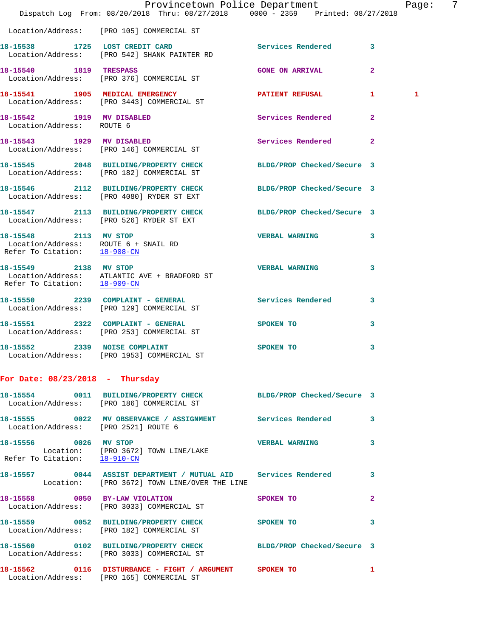|                                                                      | Dispatch Log From: 08/20/2018 Thru: 08/27/2018 0000 - 2359 Printed: 08/27/2018                                      | Provincetown Police Department |                | Page: | 7 |
|----------------------------------------------------------------------|---------------------------------------------------------------------------------------------------------------------|--------------------------------|----------------|-------|---|
|                                                                      | Location/Address: [PRO 105] COMMERCIAL ST                                                                           |                                |                |       |   |
|                                                                      | 18-15538 1725 LOST CREDIT CARD Services Rendered 3<br>Location/Address: [PRO 542] SHANK PAINTER RD                  |                                |                |       |   |
|                                                                      | 18-15540 1819 TRESPASS<br>Location/Address: [PRO 376] COMMERCIAL ST                                                 | <b>GONE ON ARRIVAL</b>         | 2              |       |   |
|                                                                      | 18-15541 1905 MEDICAL EMERGENCY 1 PATIENT REFUSAL 1<br>Location/Address: [PRO 3443] COMMERCIAL ST                   |                                |                | 1     |   |
| 18-15542 1919 MV DISABLED<br>Location/Address: ROUTE 6               |                                                                                                                     | Services Rendered              | $\overline{2}$ |       |   |
|                                                                      | 18-15543 1929 MV DISABLED<br>Location/Address: [PRO 146] COMMERCIAL ST                                              | Services Rendered 2            |                |       |   |
|                                                                      | 18-15545   2048   BUILDING/PROPERTY CHECK   BLDG/PROP Checked/Secure 3<br>Location/Address: [PRO 182] COMMERCIAL ST |                                |                |       |   |
|                                                                      | 18-15546 2112 BUILDING/PROPERTY CHECK BLDG/PROP Checked/Secure 3<br>Location/Address: [PRO 4080] RYDER ST EXT       |                                |                |       |   |
|                                                                      | 18-15547 2113 BUILDING/PROPERTY CHECK<br>Location/Address: [PRO 526] RYDER ST EXT                                   | BLDG/PROP Checked/Secure 3     |                |       |   |
| Location/Address: ROUTE 6 + SNAIL RD<br>Refer To Citation: 18-908-CN | 18-15548 2113 MV STOP                                                                                               | <b>VERBAL WARNING</b>          | 3              |       |   |
| 18-15549 2138 MV STOP                                                | Location/Address: ATLANTIC AVE + BRADFORD ST<br>Refer To Citation: $\frac{18-909-CN}{\pi}$                          | <b>VERBAL WARNING</b>          | 3              |       |   |
|                                                                      | 18-15550 2239 COMPLAINT - GENERAL Services Rendered<br>Location/Address: [PRO 129] COMMERCIAL ST                    |                                | 3              |       |   |
|                                                                      | 18-15551 2322 COMPLAINT - GENERAL<br>Location/Address: [PRO 253] COMMERCIAL ST                                      | <b>SPOKEN TO</b>               | 3              |       |   |
|                                                                      | 18-15552 2339 NOISE COMPLAINT<br>Location/Address: [PRO 1953] COMMERCIAL ST                                         | <b>SPOKEN TO</b>               | 3              |       |   |
| For Date: $08/23/2018$ - Thursday                                    |                                                                                                                     |                                |                |       |   |
|                                                                      | 18-15554 0011 BUILDING/PROPERTY CHECK BLDG/PROP Checked/Secure 3<br>Location/Address: [PRO 186] COMMERCIAL ST       |                                |                |       |   |
| Location/Address: [PRO 2521] ROUTE 6                                 | 18-15555 0022 MV OBSERVANCE / ASSIGNMENT Services Rendered 3                                                        |                                |                |       |   |
|                                                                      | 18-15556 0026 MV STOP<br>Location: [PRO 3672] TOWN LINE/LAKE<br>Refer To Citation: $\frac{18-910-CN}{\ }$           | <b>VERBAL WARNING</b>          | 3              |       |   |
|                                                                      | 18-15557 0044 ASSIST DEPARTMENT / MUTUAL AID Services Rendered 3<br>Location: [PRO 3672] TOWN LINE/OVER THE LINE    |                                |                |       |   |
|                                                                      | 18-15558 0050 BY-LAW VIOLATION<br>Location/Address: [PRO 3033] COMMERCIAL ST                                        | SPOKEN TO                      | $\mathbf{2}$   |       |   |
|                                                                      | 18-15559 0052 BUILDING/PROPERTY CHECK SPOKEN TO<br>Location/Address: [PRO 182] COMMERCIAL ST                        |                                | 3              |       |   |
|                                                                      | 18-15560 0102 BUILDING/PROPERTY CHECK BLDG/PROP Checked/Secure 3<br>Location/Address: [PRO 3033] COMMERCIAL ST      |                                |                |       |   |
|                                                                      | 18-15562 0116 DISTURBANCE - FIGHT / ARGUMENT SPOKEN TO<br>Location/Address: [PRO 165] COMMERCIAL ST                 |                                | $\mathbf{1}$   |       |   |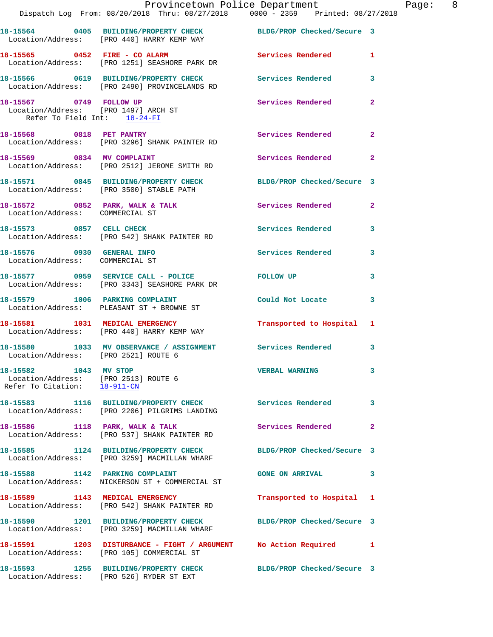|                                                                                                 | Provincetown Police Department<br>Dispatch Log From: 08/20/2018 Thru: 08/27/2018 0000 - 2359 Printed: 08/27/2018 |                            |                |
|-------------------------------------------------------------------------------------------------|------------------------------------------------------------------------------------------------------------------|----------------------------|----------------|
|                                                                                                 | 18-15564 0405 BUILDING/PROPERTY CHECK BLDG/PROP Checked/Secure 3<br>Location/Address: [PRO 440] HARRY KEMP WAY   |                            |                |
|                                                                                                 | 18-15565 0452 FIRE - CO ALARM<br>Location/Address: [PRO 1251] SEASHORE PARK DR                                   | <b>Services Rendered</b>   | 1              |
|                                                                                                 | 18-15566 0619 BUILDING/PROPERTY CHECK Services Rendered<br>Location/Address: [PRO 2490] PROVINCELANDS RD         |                            | 3              |
| 18-15567 0749 FOLLOW UP<br>Location/Address: [PRO 1497] ARCH ST<br>Refer To Field Int: 18-24-FI |                                                                                                                  | Services Rendered          | $\mathbf{2}$   |
| 18-15568 0818 PET PANTRY                                                                        | Location/Address: [PRO 3296] SHANK PAINTER RD                                                                    | <b>Services Rendered</b>   | $\overline{a}$ |
| 18-15569 0834 MV COMPLAINT                                                                      | Location/Address: [PRO 2512] JEROME SMITH RD                                                                     | <b>Services Rendered</b>   | $\mathbf{2}$   |
|                                                                                                 | 18-15571 0845 BUILDING/PROPERTY CHECK<br>Location/Address: [PRO 3500] STABLE PATH                                | BLDG/PROP Checked/Secure 3 |                |
| Location/Address: COMMERCIAL ST                                                                 | 18-15572 0852 PARK, WALK & TALK                                                                                  | Services Rendered          | $\overline{2}$ |
| 18-15573 0857 CELL CHECK                                                                        | Location/Address: [PRO 542] SHANK PAINTER RD                                                                     | <b>Services Rendered</b>   | 3              |
| 18-15576 0930 GENERAL INFO<br>Location/Address: COMMERCIAL ST                                   |                                                                                                                  | Services Rendered          | 3              |
|                                                                                                 | 18-15577 0959 SERVICE CALL - POLICE<br>Location/Address: [PRO 3343] SEASHORE PARK DR                             | FOLLOW UP                  | 3              |
|                                                                                                 | 18-15579 1006 PARKING COMPLAINT<br>Location/Address: PLEASANT ST + BROWNE ST                                     | Could Not Locate           | 3              |
|                                                                                                 | 18-15581 1031 MEDICAL EMERGENCY<br>Location/Address: [PRO 440] HARRY KEMP WAY                                    | Transported to Hospital    | 1              |
| Location/Address: [PRO 2521] ROUTE 6                                                            | 18-15580 1033 MV OBSERVANCE / ASSIGNMENT Services Rendered                                                       |                            | 3              |
| 18-15582 1043 MV STOP<br>Location/Address: [PRO 2513] ROUTE 6<br>Refer To Citation: 18-911-CN   |                                                                                                                  | <b>VERBAL WARNING</b>      | 3              |
|                                                                                                 | 18-15583 1116 BUILDING/PROPERTY CHECK<br>Location/Address: [PRO 2206] PILGRIMS LANDING                           | <b>Services Rendered</b>   | 3              |
| 18-15586 1118 PARK, WALK & TALK                                                                 | Location/Address: [PRO 537] SHANK PAINTER RD                                                                     | Services Rendered          | $\mathbf{2}$   |
|                                                                                                 | 18-15585 1124 BUILDING/PROPERTY CHECK<br>Location/Address: [PRO 3259] MACMILLAN WHARF                            | BLDG/PROP Checked/Secure 3 |                |
| 18-15588 1142 PARKING COMPLAINT                                                                 | Location/Address: NICKERSON ST + COMMERCIAL ST                                                                   | <b>GONE ON ARRIVAL</b>     | 3              |
|                                                                                                 | 18-15589 1143 MEDICAL EMERGENCY<br>Location/Address: [PRO 542] SHANK PAINTER RD                                  | Transported to Hospital    | 1              |
|                                                                                                 | 18-15590 1201 BUILDING/PROPERTY CHECK<br>Location/Address: [PRO 3259] MACMILLAN WHARF                            | BLDG/PROP Checked/Secure 3 |                |
|                                                                                                 | 18-15591 1203 DISTURBANCE - FIGHT / ARGUMENT No Action Required<br>Location/Address: [PRO 105] COMMERCIAL ST     |                            | 1              |
|                                                                                                 | 18-15593 1255 BUILDING/PROPERTY CHECK<br>Location/Address: [PRO 526] RYDER ST EXT                                | BLDG/PROP Checked/Secure 3 |                |

Page: 8<br><sup>18</sup>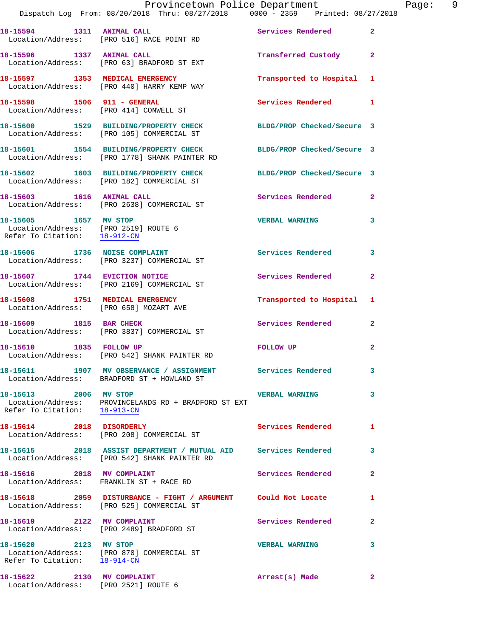|                                                                                               | Dispatch Log From: 08/20/2018 Thru: 08/27/2018 0000 - 2359 Printed: 08/27/2018                                    | Provincetown Police Department | Page: 9        |
|-----------------------------------------------------------------------------------------------|-------------------------------------------------------------------------------------------------------------------|--------------------------------|----------------|
|                                                                                               | 18-15594 1311 ANIMAL CALL<br>Location/Address: [PRO 516] RACE POINT RD                                            | Services Rendered              | $\mathbf{2}$   |
|                                                                                               | 18-15596 1337 ANIMAL CALL<br>Location/Address: [PRO 63] BRADFORD ST EXT                                           | Transferred Custody 2          |                |
|                                                                                               | 18-15597 1353 MEDICAL EMERGENCY<br>Location/Address: [PRO 440] HARRY KEMP WAY                                     | Transported to Hospital 1      |                |
|                                                                                               | 18-15598 1506 911 - GENERAL<br>Location/Address: [PRO 414] CONWELL ST                                             | Services Rendered 1            |                |
|                                                                                               | 18-15600 1529 BUILDING/PROPERTY CHECK<br>Location/Address: [PRO 105] COMMERCIAL ST                                | BLDG/PROP Checked/Secure 3     |                |
|                                                                                               | 18-15601 1554 BUILDING/PROPERTY CHECK BLDG/PROP Checked/Secure 3<br>Location/Address: [PRO 1778] SHANK PAINTER RD |                                |                |
|                                                                                               | 18-15602 1603 BUILDING/PROPERTY CHECK BLDG/PROP Checked/Secure 3<br>Location/Address: [PRO 182] COMMERCIAL ST     |                                |                |
|                                                                                               | 18-15603 1616 ANIMAL CALL<br>Location/Address: [PRO 2638] COMMERCIAL ST                                           | <b>Services Rendered</b>       | $\mathbf{2}$   |
| 18-15605 1657 MV STOP<br>Location/Address: [PRO 2519] ROUTE 6<br>Refer To Citation: 18-912-CN |                                                                                                                   | <b>VERBAL WARNING</b>          | 3              |
|                                                                                               | 18-15606 1736 NOISE COMPLAINT<br>Location/Address: [PRO 3237] COMMERCIAL ST                                       | Services Rendered              | 3              |
|                                                                                               | 18-15607 1744 EVICTION NOTICE<br>Location/Address: [PRO 2169] COMMERCIAL ST                                       | Services Rendered              | $\mathbf{2}$   |
| Location/Address: [PRO 658] MOZART AVE                                                        | 18-15608 1751 MEDICAL EMERGENCY                                                                                   | Transported to Hospital 1      |                |
|                                                                                               | 18-15609 1815 BAR CHECK<br>Location/Address: [PRO 3837] COMMERCIAL ST                                             | Services Rendered              | $\mathbf{2}$   |
|                                                                                               | 18-15610 1835 FOLLOW UP<br>Location/Address: [PRO 542] SHANK PAINTER RD                                           | <b>FOLLOW UP</b>               | 2              |
|                                                                                               | 18-15611 1907 MV OBSERVANCE / ASSIGNMENT Services Rendered 3<br>Location/Address: BRADFORD ST + HOWLAND ST        |                                |                |
| 18-15613 2006 MV STOP<br>Refer To Citation: 18-913-CN                                         | Location/Address: PROVINCELANDS RD + BRADFORD ST EXT                                                              | <b>VERBAL WARNING</b>          | 3              |
| 18-15614 2018 DISORDERLY                                                                      | Location/Address: [PRO 208] COMMERCIAL ST                                                                         | <b>Services Rendered</b>       | 1              |
|                                                                                               | 18-15615 2018 ASSIST DEPARTMENT / MUTUAL AID Services Rendered<br>Location/Address: [PRO 542] SHANK PAINTER RD    |                                | 3              |
| 18-15616 2018 MV COMPLAINT                                                                    | Location/Address: FRANKLIN ST + RACE RD                                                                           | Services Rendered              | $\overline{2}$ |
|                                                                                               |                                                                                                                   |                                | $\mathbf{1}$   |
|                                                                                               | 18-15619 2122 MV COMPLAINT<br>Location/Address: [PRO 2489] BRADFORD ST                                            | Services Rendered              | $\mathbf{2}$   |
| 18-15620 2123 MV STOP<br>Refer To Citation: 18-914-CN                                         | Location/Address: [PRO 870] COMMERCIAL ST                                                                         | <b>VERBAL WARNING</b>          | 3              |
| 18-15622 2130 MV COMPLAINT                                                                    |                                                                                                                   | Arrest(s) Made                 | $\mathbf{2}$   |

Location/Address: [PRO 2521] ROUTE 6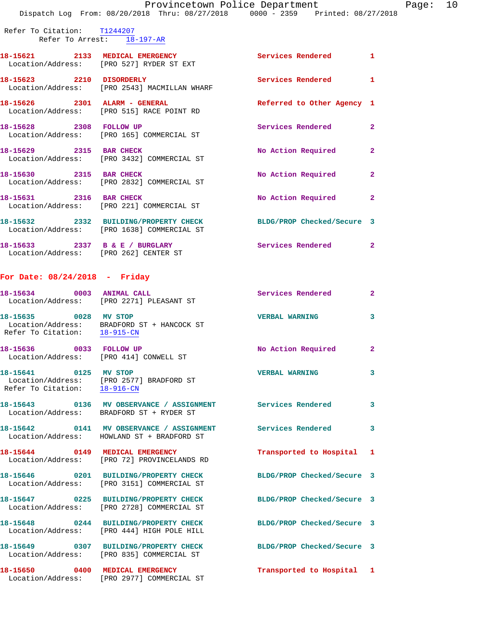Refer To Citation: T1244207 Refer To Arrest: 18-197-AR

| 18-15621 2133 MEDICAL EMERGENCY              | Location/Address: [PRO 527] RYDER ST EXT                                            | <b>Services Rendered</b>   | $\mathbf{1}$   |
|----------------------------------------------|-------------------------------------------------------------------------------------|----------------------------|----------------|
| 18-15623 2210 DISORDERLY                     | Location/Address: [PRO 2543] MACMILLAN WHARF                                        | <b>Services Rendered</b>   | $\mathbf{1}$   |
| 18-15626  2301  ALARM - GENERAL              | Location/Address: [PRO 515] RACE POINT RD                                           | Referred to Other Agency 1 |                |
| 18-15628 2308 FOLLOW UP                      | Location/Address: [PRO 165] COMMERCIAL ST                                           | Services Rendered          | $\overline{2}$ |
| 18-15629 2315 BAR CHECK                      | Location/Address: [PRO 3432] COMMERCIAL ST                                          | No Action Required         | $\overline{2}$ |
| 18-15630 2315 BAR CHECK<br>Location/Address: | [PRO 2832] COMMERCIAL ST                                                            | No Action Required         | $\mathbf{2}$   |
| 18-15631 2316 BAR CHECK<br>Location/Address: | [PRO 221] COMMERCIAL ST                                                             | No Action Required         | $\overline{2}$ |
|                                              | 18-15632 2332 BUILDING/PROPERTY CHECK<br>Location/Address: [PRO 1638] COMMERCIAL ST | BLDG/PROP Checked/Secure 3 |                |
| 18-15633<br>2337                             | B & E / BURGLARY                                                                    | <b>Services Rendered</b>   | $\overline{a}$ |

Location/Address: [PRO 262] CENTER ST

## **For Date: 08/24/2018 - Friday**

| 18-15634 0003 ANIMAL CALL                                         | Location/Address: [PRO 2271] PLEASANT ST                                                                             | Services Rendered          | $\mathbf{2}$   |
|-------------------------------------------------------------------|----------------------------------------------------------------------------------------------------------------------|----------------------------|----------------|
| 18-15635 0028 MV STOP                                             | Location/Address: BRADFORD ST + HANCOCK ST<br>Refer To Citation: $\frac{18-915-CN}{18-915-CN}$                       | <b>VERBAL WARNING</b>      | $\mathbf{3}$   |
| 18-15636 0033 FOLLOW UP<br>Location/Address: [PRO 414] CONWELL ST |                                                                                                                      | No Action Required         | $\overline{2}$ |
| 18-15641 0125 MV STOP<br>Refer To Citation: 18-916-CN             | Location/Address: [PRO 2577] BRADFORD ST                                                                             | <b>VERBAL WARNING</b>      | $\mathbf{3}$   |
|                                                                   | 18-15643      0136   MV OBSERVANCE / ASSIGNMENT      Services Rendered<br>Location/Address: BRADFORD ST + RYDER ST   |                            | $\mathbf{3}$   |
|                                                                   | 18-15642      0141   MV OBSERVANCE / ASSIGNMENT      Services Rendered<br>Location/Address: HOWLAND ST + BRADFORD ST |                            | $\mathbf{3}$   |
| Location/Address:                                                 | 18-15644 0149 MEDICAL EMERGENCY<br>[PRO 72] PROVINCELANDS RD                                                         | Transported to Hospital 1  |                |
|                                                                   | 18-15646 0201 BUILDING/PROPERTY CHECK<br>Location/Address: [PRO 3151] COMMERCIAL ST                                  | BLDG/PROP Checked/Secure 3 |                |
| Location/Address:                                                 | 18-15647 0225 BUILDING/PROPERTY CHECK<br>[PRO 2728] COMMERCIAL ST                                                    | BLDG/PROP Checked/Secure 3 |                |
| Location/Address:                                                 | 18-15648 0244 BUILDING/PROPERTY CHECK<br>[PRO 444] HIGH POLE HILL                                                    | BLDG/PROP Checked/Secure 3 |                |
|                                                                   | 18-15649 0307 BUILDING/PROPERTY CHECK<br>Location/Address: [PRO 835] COMMERCIAL ST                                   | BLDG/PROP Checked/Secure 3 |                |
| Location/Address:                                                 | 18-15650 0400 MEDICAL EMERGENCY<br>[PRO 2977] COMMERCIAL ST                                                          | Transported to Hospital 1  |                |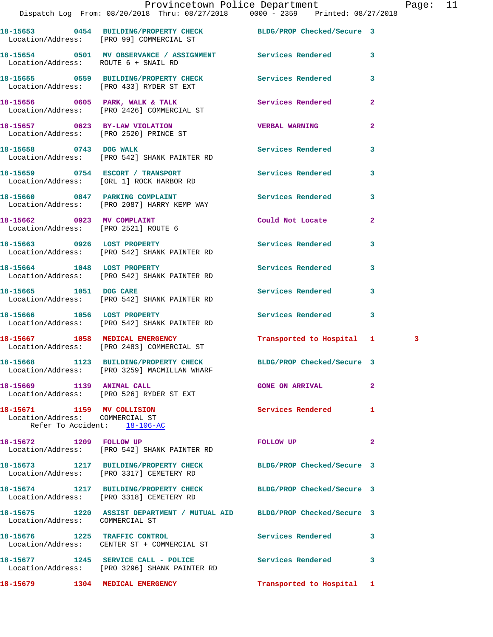|                                                                                               | Provincetown Police Department<br>Dispatch Log From: 08/20/2018 Thru: 08/27/2018   0000 - 2359   Printed: 08/27/2018 |                            |              | Page: 11 |  |
|-----------------------------------------------------------------------------------------------|----------------------------------------------------------------------------------------------------------------------|----------------------------|--------------|----------|--|
|                                                                                               | 18-15653 0454 BUILDING/PROPERTY CHECK BLDG/PROP Checked/Secure 3<br>Location/Address: [PRO 99] COMMERCIAL ST         |                            |              |          |  |
| Location/Address: ROUTE 6 + SNAIL RD                                                          | 18-15654 0501 MV OBSERVANCE / ASSIGNMENT Services Rendered 3                                                         |                            |              |          |  |
|                                                                                               | 18-15655 0559 BUILDING/PROPERTY CHECK Services Rendered<br>Location/Address: [PRO 433] RYDER ST EXT                  |                            | 3            |          |  |
|                                                                                               | 18-15656 0605 PARK, WALK & TALK 1988 Services Rendered 2<br>Location/Address: [PRO 2426] COMMERCIAL ST               |                            |              |          |  |
|                                                                                               | 18-15657 0623 BY-LAW VIOLATION VERBAL WARNING<br>Location/Address: [PRO 2520] PRINCE ST                              |                            | $\mathbf{2}$ |          |  |
| 18-15658 0743 DOG WALK                                                                        | Location/Address: [PRO 542] SHANK PAINTER RD                                                                         | Services Rendered 3        |              |          |  |
|                                                                                               | 18-15659 0754 ESCORT / TRANSPORT Services Rendered<br>Location/Address: [ORL 1] ROCK HARBOR RD                       |                            | 3            |          |  |
|                                                                                               | 18-15660 0847 PARKING COMPLAINT Services Rendered<br>Location/Address: [PRO 2087] HARRY KEMP WAY                     |                            | $\mathbf{3}$ |          |  |
|                                                                                               |                                                                                                                      | Could Not Locate           | $\mathbf{2}$ |          |  |
|                                                                                               | 18-15663 0926 LOST PROPERTY<br>Location/Address: [PRO 542] SHANK PAINTER RD                                          | <b>Services Rendered</b>   | 3            |          |  |
|                                                                                               | 18-15664 1048 LOST PROPERTY<br>Location/Address: [PRO 542] SHANK PAINTER RD                                          | Services Rendered 3        |              |          |  |
| 18-15665 1051 DOG CARE                                                                        | Location/Address: [PRO 542] SHANK PAINTER RD                                                                         | Services Rendered          | 3            |          |  |
|                                                                                               | 18-15666 1056 LOST PROPERTY<br>Location/Address: [PRO 542] SHANK PAINTER RD                                          | Services Rendered 3        |              |          |  |
|                                                                                               | 18-15667 1058 MEDICAL EMERGENCY<br>Location/Address: [PRO 2483] COMMERCIAL ST                                        | Transported to Hospital 1  |              | 3        |  |
|                                                                                               | 18-15668 1123 BUILDING/PROPERTY CHECK<br>Location/Address: [PRO 3259] MACMILLAN WHARF                                | BLDG/PROP Checked/Secure 3 |              |          |  |
| 18-15669 1139 ANIMAL CALL                                                                     | Location/Address: [PRO 526] RYDER ST EXT                                                                             | <b>GONE ON ARRIVAL</b>     | $\mathbf{2}$ |          |  |
| 18-15671 1159 MV COLLISION<br>Location/Address: COMMERCIAL ST<br>Refer To Accident: 18-106-AC |                                                                                                                      | Services Rendered          | 1            |          |  |
| 18-15672 1209 FOLLOW UP                                                                       | Location/Address: [PRO 542] SHANK PAINTER RD                                                                         | FOLLOW UP                  | $\mathbf{2}$ |          |  |
|                                                                                               | 18-15673 1217 BUILDING/PROPERTY CHECK<br>Location/Address: [PRO 3317] CEMETERY RD                                    | BLDG/PROP Checked/Secure 3 |              |          |  |
|                                                                                               | 18-15674 1217 BUILDING/PROPERTY CHECK BLDG/PROP Checked/Secure 3<br>Location/Address: [PRO 3318] CEMETERY RD         |                            |              |          |  |
| Location/Address: COMMERCIAL ST                                                               | 18-15675 1220 ASSIST DEPARTMENT / MUTUAL AID BLDG/PROP Checked/Secure 3                                              |                            |              |          |  |
|                                                                                               | 18-15676 1225 TRAFFIC CONTROL<br>Location/Address: CENTER ST + COMMERCIAL ST                                         | Services Rendered          | 3            |          |  |
|                                                                                               | 18-15677 1245 SERVICE CALL - POLICE 2012 Services Rendered<br>Location/Address: [PRO 3296] SHANK PAINTER RD          |                            | 3            |          |  |

**18-15679 1304 MEDICAL EMERGENCY Transported to Hospital 1**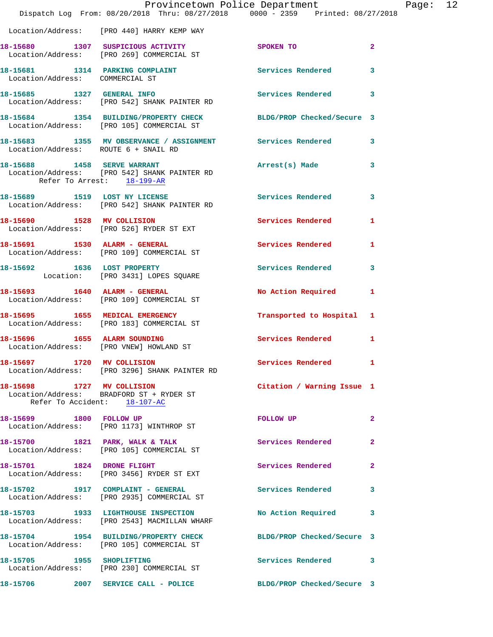|                                                                    | Provincetown Police Department<br>Dispatch Log From: 08/20/2018 Thru: 08/27/2018 0000 - 2359 Printed: 08/27/2018 |                            |                |
|--------------------------------------------------------------------|------------------------------------------------------------------------------------------------------------------|----------------------------|----------------|
|                                                                    | Location/Address: [PRO 440] HARRY KEMP WAY                                                                       |                            |                |
|                                                                    | 18-15680 1307 SUSPICIOUS ACTIVITY<br>Location/Address: [PRO 269] COMMERCIAL ST                                   | SPOKEN TO                  | $\mathbf{2}$   |
| 18-15681 1314 PARKING COMPLAINT<br>Location/Address: COMMERCIAL ST |                                                                                                                  | <b>Services Rendered</b>   | 3              |
|                                                                    | 18-15685 1327 GENERAL INFO<br>Location/Address: [PRO 542] SHANK PAINTER RD                                       | Services Rendered          | 3              |
|                                                                    | 18-15684 1354 BUILDING/PROPERTY CHECK<br>Location/Address: [PRO 105] COMMERCIAL ST                               | BLDG/PROP Checked/Secure 3 |                |
| Location/Address: ROUTE 6 + SNAIL RD                               | 18-15683 1355 MV OBSERVANCE / ASSIGNMENT Services Rendered                                                       |                            | 3              |
| 18-15688 1458 SERVE WARRANT<br>Refer To Arrest: 18-199-AR          | Location/Address: [PRO 542] SHANK PAINTER RD                                                                     | Arrest(s) Made             | 3              |
|                                                                    | 18-15689 1519 LOST NY LICENSE<br>Location/Address: [PRO 542] SHANK PAINTER RD                                    | <b>Services Rendered</b>   | 3              |
| 18-15690 1528 MV COLLISION                                         | Location/Address: [PRO 526] RYDER ST EXT                                                                         | Services Rendered          | 1              |
|                                                                    | 18-15691 1530 ALARM - GENERAL<br>Location/Address: [PRO 109] COMMERCIAL ST                                       | Services Rendered          | 1              |
| 18-15692 1636 LOST PROPERTY                                        | Location: [PRO 3431] LOPES SQUARE                                                                                | Services Rendered          | 3              |
|                                                                    | 18-15693 1640 ALARM - GENERAL<br>Location/Address: [PRO 109] COMMERCIAL ST                                       | No Action Required         | 1              |
|                                                                    | 18-15695 1655 MEDICAL EMERGENCY<br>Location/Address: [PRO 183] COMMERCIAL ST                                     | Transported to Hospital    | 1              |
| Location/Address: [PRO VNEW] HOWLAND ST                            | 18-15696 1655 ALARM SOUNDING                                                                                     | <b>Services Rendered</b>   | 1              |
| 18-15697 1720 MV COLLISION                                         | Location/Address: [PRO 3296] SHANK PAINTER RD                                                                    | <b>Services Rendered</b>   |                |
| 18-15698 1727 MV COLLISION                                         | Location/Address: BRADFORD ST + RYDER ST<br>Refer To Accident: 18-107-AC                                         | Citation / Warning Issue 1 |                |
| 18-15699 1800 FOLLOW UP                                            | Location/Address: [PRO 1173] WINTHROP ST                                                                         | FOLLOW UP                  | $\overline{a}$ |
|                                                                    | 18-15700 1821 PARK, WALK & TALK<br>Location/Address: [PRO 105] COMMERCIAL ST                                     | Services Rendered          | 2              |
| 18-15701 1824 DRONE FLIGHT                                         | Location/Address: [PRO 3456] RYDER ST EXT                                                                        | Services Rendered          | $\mathbf{2}$   |
|                                                                    | 18-15702 1917 COMPLAINT - GENERAL<br>Location/Address: [PRO 2935] COMMERCIAL ST                                  | <b>Services Rendered</b>   | 3              |
|                                                                    | 18-15703 1933 LIGHTHOUSE INSPECTION<br>Location/Address: [PRO 2543] MACMILLAN WHARF                              | No Action Required         | 3              |
|                                                                    | 18-15704 1954 BUILDING/PROPERTY CHECK<br>Location/Address: [PRO 105] COMMERCIAL ST                               | BLDG/PROP Checked/Secure 3 |                |
| 18-15705 1955 SHOPLIFTING                                          | Location/Address: [PRO 230] COMMERCIAL ST                                                                        | Services Rendered          | 3              |
|                                                                    | 18-15706 2007 SERVICE CALL - POLICE                                                                              | BLDG/PROP Checked/Secure 3 |                |

Page:  $12$ <br>018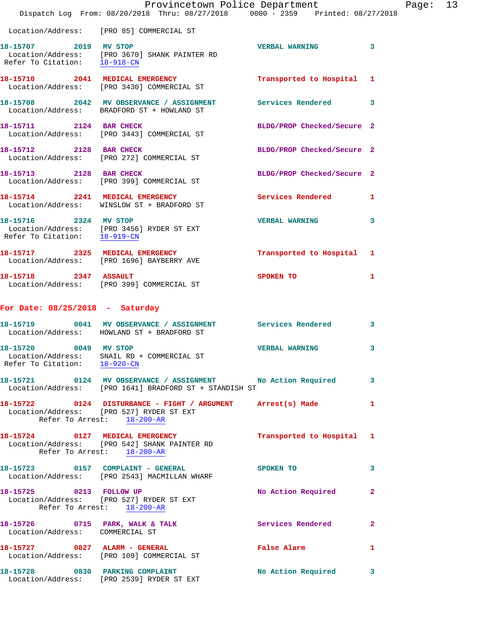|                                                       | Provincetown Police Department<br>Dispatch Log From: 08/20/2018 Thru: 08/27/2018 0000 - 2359 Printed: 08/27/2018                      |                            |              |
|-------------------------------------------------------|---------------------------------------------------------------------------------------------------------------------------------------|----------------------------|--------------|
|                                                       | Location/Address: [PRO 85] COMMERCIAL ST                                                                                              |                            |              |
| Refer To Citation: 18-918-CN                          | 18-15707 2019 MV STOP<br>Location/Address: [PRO 3670] SHANK PAINTER RD                                                                | <b>VERBAL WARNING</b>      | 3            |
|                                                       | 18-15710 2041 MEDICAL EMERGENCY<br>Location/Address: [PRO 3430] COMMERCIAL ST                                                         | Transported to Hospital    | 1            |
|                                                       | 18-15708 2042 MV OBSERVANCE / ASSIGNMENT Services Rendered<br>Location/Address: BRADFORD ST + HOWLAND ST                              |                            | 3            |
| 18-15711 2124 BAR CHECK                               | Location/Address: [PRO 3443] COMMERCIAL ST                                                                                            | BLDG/PROP Checked/Secure 2 |              |
|                                                       | 18-15712 2128 BAR CHECK<br>Location/Address: [PRO 272] COMMERCIAL ST                                                                  | BLDG/PROP Checked/Secure 2 |              |
| 18-15713 2128 BAR CHECK                               | Location/Address: [PRO 399] COMMERCIAL ST                                                                                             | BLDG/PROP Checked/Secure 2 |              |
|                                                       | 18-15714 2241 MEDICAL EMERGENCY<br>Location/Address: WINSLOW ST + BRADFORD ST                                                         | <b>Services Rendered</b>   | 1            |
| 18-15716 2324 MV STOP<br>Refer To Citation: 18-919-CN | Location/Address: [PRO 3456] RYDER ST EXT                                                                                             | <b>VERBAL WARNING</b>      | 3            |
|                                                       | 18-15717 2325 MEDICAL EMERGENCY<br>Location/Address: [PRO 1696] BAYBERRY AVE                                                          | Transported to Hospital    | 1            |
|                                                       | 18-15718 2347 ASSAULT<br>Location/Address: [PRO 399] COMMERCIAL ST                                                                    | SPOKEN TO                  | 1            |
| For Date: $08/25/2018$ - Saturday                     |                                                                                                                                       |                            |              |
|                                                       | 18-15719 0041 MV OBSERVANCE / ASSIGNMENT Services Rendered<br>Location/Address: HOWLAND ST + BRADFORD ST                              |                            | 3            |
| 18-15720 0049 MV STOP<br>Refer To Citation: 18-920-CN | Location/Address: SNAIL RD + COMMERCIAL ST                                                                                            | <b>VERBAL WARNING</b>      | 3            |
|                                                       | 18-15721 0124 MV OBSERVANCE / ASSIGNMENT No Action Required<br>Location/Address: [PRO 1641] BRADFORD ST + STANDISH ST                 |                            | 3            |
|                                                       | 18-15722 0124 DISTURBANCE - FIGHT / ARGUMENT Arrest(s) Made<br>Location/Address: [PRO 527] RYDER ST EXT<br>Refer To Arrest: 18-200-AR |                            | 1            |
| Refer To Arrest: 18-200-AR                            | 18-15724 0127 MEDICAL EMERGENCY<br>Location/Address: [PRO 542] SHANK PAINTER RD                                                       | Transported to Hospital 1  |              |
|                                                       | 18-15723 0157 COMPLAINT - GENERAL<br>Location/Address: [PRO 2543] MACMILLAN WHARF                                                     | <b>SPOKEN TO</b>           | 3            |
| 18-15725 0213 FOLLOW UP                               | Location/Address: [PRO 527] RYDER ST EXT<br>Refer To Arrest: $18-200-R$                                                               | No Action Required         | $\mathbf{2}$ |
| Location/Address: COMMERCIAL ST                       | 18-15726 0715 PARK, WALK & TALK                                                                                                       | Services Rendered          | $\mathbf{2}$ |
|                                                       | 18-15727 0827 ALARM - GENERAL<br>Location/Address: [PRO 109] COMMERCIAL ST                                                            | False Alarm                | 1            |
|                                                       | 18-15728 0830 PARKING COMPLAINT<br>Location/Address: [PRO 2539] RYDER ST EXT                                                          | No Action Required         | 3            |

Page:  $13$ <br> $8$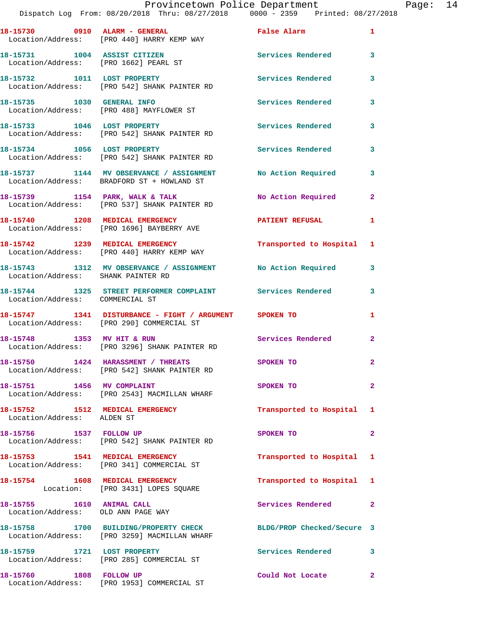|                                    | Provincetown Police Department<br>Dispatch Log From: 08/20/2018 Thru: 08/27/2018   0000 - 2359   Printed: 08/27/2018 |                            |                | Page: 14 |  |
|------------------------------------|----------------------------------------------------------------------------------------------------------------------|----------------------------|----------------|----------|--|
|                                    | Location/Address: [PRO 440] HARRY KEMP WAY                                                                           |                            |                |          |  |
|                                    | 18-15731 1004 ASSIST CITIZEN 5ervices Rendered 3<br>Location/Address: [PRO 1662] PEARL ST                            |                            |                |          |  |
|                                    | 18-15732 1011 LOST PROPERTY<br>Location/Address: [PRO 542] SHANK PAINTER RD                                          | Services Rendered 3        |                |          |  |
|                                    | 18-15735 1030 GENERAL INFO<br>Location/Address: [PRO 488] MAYFLOWER ST                                               |                            | $\mathbf{3}$   |          |  |
|                                    | 18-15733 1046 LOST PROPERTY<br>Location/Address: [PRO 542] SHANK PAINTER RD                                          | Services Rendered 3        |                |          |  |
|                                    | 18-15734 1056 LOST PROPERTY<br>Location/Address: [PRO 542] SHANK PAINTER RD                                          | <b>Services Rendered</b>   | 3              |          |  |
|                                    | 18-15737 1144 MV OBSERVANCE / ASSIGNMENT No Action Required 3<br>Location/Address: BRADFORD ST + HOWLAND ST          |                            |                |          |  |
|                                    | 18-15739 1154 PARK, WALK & TALK 1999 No Action Required<br>Location/Address: [PRO 537] SHANK PAINTER RD              |                            | $\mathbf{2}$   |          |  |
|                                    | 18-15740 1208 MEDICAL EMERGENCY PATIENT REFUSAL 1<br>Location/Address: [PRO 1696] BAYBERRY AVE                       |                            |                |          |  |
|                                    | 18-15742 1239 MEDICAL EMERGENCY<br>Location/Address: [PRO 440] HARRY KEMP WAY                                        | Transported to Hospital 1  |                |          |  |
| Location/Address: SHANK PAINTER RD | 18-15743 1312 MV OBSERVANCE / ASSIGNMENT No Action Required 3                                                        |                            |                |          |  |
| Location/Address: COMMERCIAL ST    | 18-15744 1325 STREET PERFORMER COMPLAINT Services Rendered                                                           |                            | 3              |          |  |
|                                    | 18-15747 1341 DISTURBANCE - FIGHT / ARGUMENT SPOKEN TO<br>Location/Address: [PRO 290] COMMERCIAL ST                  |                            | $\mathbf{1}$   |          |  |
|                                    | 18-15748 1353 MV HIT & RUN<br>Location/Address: [PRO 3296] SHANK PAINTER RD                                          | Services Rendered 2        |                |          |  |
|                                    | 18-15750 1424 HARASSMENT / THREATS<br>Location/Address: [PRO 542] SHANK PAINTER RD                                   | <b>SPOKEN TO</b>           |                |          |  |
| 18-15751 1456 MV COMPLAINT         | Location/Address: [PRO 2543] MACMILLAN WHARF                                                                         | SPOKEN TO                  | $\overline{2}$ |          |  |
| Location/Address: ALDEN ST         | 18-15752 1512 MEDICAL EMERGENCY                                                                                      | Transported to Hospital 1  |                |          |  |
|                                    | 18-15756 1537 FOLLOW UP<br>Location/Address: [PRO 542] SHANK PAINTER RD                                              | SPOKEN TO                  | $\overline{2}$ |          |  |
|                                    | 18-15753 1541 MEDICAL EMERGENCY<br>Location/Address: [PRO 341] COMMERCIAL ST                                         | Transported to Hospital 1  |                |          |  |
|                                    | 18-15754 1608 MEDICAL EMERGENCY<br>Location: [PRO 3431] LOPES SQUARE                                                 | Transported to Hospital 1  |                |          |  |
|                                    | 18-15755 1610 ANIMAL CALL<br>Location/Address: OLD ANN PAGE WAY                                                      | Services Rendered 2        |                |          |  |
|                                    | 18-15758 1700 BUILDING/PROPERTY CHECK<br>Location/Address: [PRO 3259] MACMILLAN WHARF                                | BLDG/PROP Checked/Secure 3 |                |          |  |
| 18-15759 1721 LOST PROPERTY        | Location/Address: [PRO 285] COMMERCIAL ST                                                                            | Services Rendered 3        |                |          |  |
|                                    | 18-15760 1808 FOLLOW UP<br>Location/Address: [PRO 1953] COMMERCIAL ST                                                | Could Not Locate           | $\mathbf{2}$   |          |  |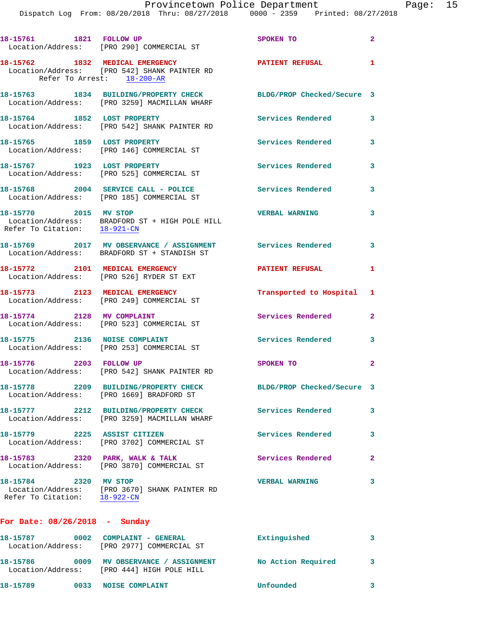|                                                       | 18-15761 1821 FOLLOW UP<br>Location/Address: [PRO 290] COMMERCIAL ST                                          | SPOKEN TO                  | $\mathbf{2}$   |
|-------------------------------------------------------|---------------------------------------------------------------------------------------------------------------|----------------------------|----------------|
|                                                       | 18-15762 1832 MEDICAL EMERGENCY<br>Location/Address: [PRO 542] SHANK PAINTER RD<br>Refer To Arrest: 18-200-AR | PATIENT REFUSAL            | -1             |
|                                                       | 18-15763 1834 BUILDING/PROPERTY CHECK<br>Location/Address: [PRO 3259] MACMILLAN WHARF                         | BLDG/PROP Checked/Secure 3 |                |
| 18-15764 1852 LOST PROPERTY                           | Location/Address: [PRO 542] SHANK PAINTER RD                                                                  | Services Rendered          | $\mathbf{3}$   |
|                                                       | 18-15765 1859 LOST PROPERTY<br>Location/Address: [PRO 146] COMMERCIAL ST                                      | <b>Services Rendered</b>   | 3              |
| 18-15767 1923 LOST PROPERTY                           | Location/Address: [PRO 525] COMMERCIAL ST                                                                     | Services Rendered          | 3              |
|                                                       | 18-15768 2004 SERVICE CALL - POLICE<br>Location/Address: [PRO 185] COMMERCIAL ST                              | <b>Services Rendered</b>   | 3              |
| 18-15770 2015 MV STOP<br>Refer To Citation: 18-921-CN | Location/Address: BRADFORD ST + HIGH POLE HILL                                                                | <b>VERBAL WARNING</b>      | 3              |
|                                                       | 18-15769 2017 MV OBSERVANCE / ASSIGNMENT<br>Location/Address: BRADFORD ST + STANDISH ST                       | Services Rendered          | 3              |
| 18-15772 2101 MEDICAL EMERGENCY                       | Location/Address: [PRO 526] RYDER ST EXT                                                                      | <b>PATIENT REFUSAL</b>     | 1              |
|                                                       | 18-15773 2123 MEDICAL EMERGENCY<br>Location/Address: [PRO 249] COMMERCIAL ST                                  | Transported to Hospital 1  |                |
| 18-15774 2128 MV COMPLAINT                            | Location/Address: [PRO 523] COMMERCIAL ST                                                                     | Services Rendered          | $\mathbf{2}$   |
|                                                       | 18-15775 2136 NOISE COMPLAINT<br>Location/Address: [PRO 253] COMMERCIAL ST                                    | <b>Services Rendered</b>   | 3              |
| 18-15776 2203 FOLLOW UP                               | Location/Address: [PRO 542] SHANK PAINTER RD                                                                  | SPOKEN TO                  | $\overline{a}$ |
|                                                       | 18-15778 2209 BUILDING/PROPERTY CHECK<br>Location/Address: [PRO 1669] BRADFORD ST                             | BLDG/PROP Checked/Secure 3 |                |
|                                                       | 18-15777 2212 BUILDING/PROPERTY CHECK<br>Location/Address: [PRO 3259] MACMILLAN WHARF                         | <b>Services Rendered</b>   | 3              |
| 18-15779 2225 ASSIST CITIZEN                          | Location/Address: [PRO 3702] COMMERCIAL ST                                                                    | <b>Services Rendered</b>   | 3              |
| 18-15783 2320 PARK, WALK & TALK                       | Location/Address: [PRO 3870] COMMERCIAL ST                                                                    | <b>Services Rendered</b>   | $\overline{2}$ |
| 18-15784 2320 MV STOP<br>Refer To Citation: 18-922-CN | Location/Address: [PRO 3670] SHANK PAINTER RD                                                                 | <b>VERBAL WARNING</b>      | 3              |
| For Date: $08/26/2018$ - Sunday                       |                                                                                                               |                            |                |
| 18-15787 0002 COMPLAINT - GENERAL                     |                                                                                                               | Extinguished               | 3              |

 Location/Address: [PRO 2977] COMMERCIAL ST **18-15786 0009 MV OBSERVANCE / ASSIGNMENT No Action Required 3**  Location/Address: [PRO 444] HIGH POLE HILL **18-15789 0033 NOISE COMPLAINT Unfounded 3**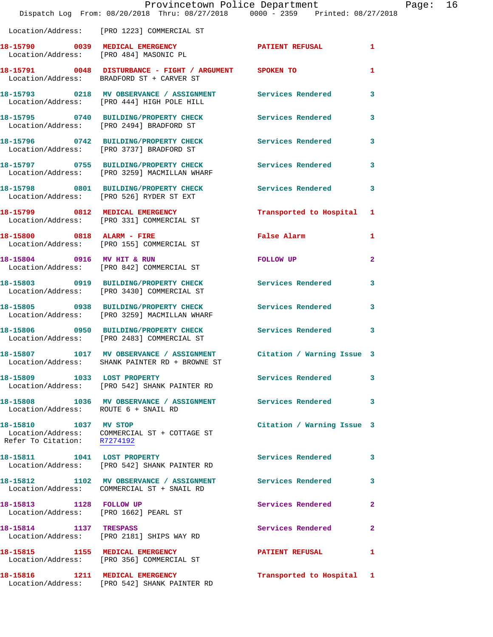|                                                      | Provincetown Police Department<br>Dispatch Log From: 08/20/2018 Thru: 08/27/2018 0000 - 2359 Printed: 08/27/2018      |                            | Page: 16       |  |
|------------------------------------------------------|-----------------------------------------------------------------------------------------------------------------------|----------------------------|----------------|--|
|                                                      | Location/Address: [PRO 1223] COMMERCIAL ST                                                                            |                            |                |  |
|                                                      | 18-15790 0039 MEDICAL EMERGENCY PATIENT REFUSAL Location/Address: [PRO 484] MASONIC PL                                |                            | 1              |  |
|                                                      | 18-15791 0048 DISTURBANCE - FIGHT / ARGUMENT SPOKEN TO<br>Location/Address: BRADFORD ST + CARVER ST                   |                            | 1              |  |
|                                                      |                                                                                                                       |                            | 3              |  |
|                                                      | 18-15795 0740 BUILDING/PROPERTY CHECK Services Rendered<br>Location/Address: [PRO 2494] BRADFORD ST                   |                            | 3              |  |
|                                                      | 18-15796 0742 BUILDING/PROPERTY CHECK<br>Location/Address: [PRO 3737] BRADFORD ST                                     | Services Rendered          | 3              |  |
|                                                      | 18-15797 0755 BUILDING/PROPERTY CHECK Services Rendered<br>Location/Address: [PRO 3259] MACMILLAN WHARF               |                            | 3              |  |
|                                                      | 18-15798 0801 BUILDING/PROPERTY CHECK Services Rendered 3<br>Location/Address: [PRO 526] RYDER ST EXT                 |                            |                |  |
|                                                      | 18-15799 0812 MEDICAL EMERGENCY<br>Location/Address: [PRO 331] COMMERCIAL ST                                          | Transported to Hospital 1  |                |  |
|                                                      | 18-15800 0818 ALARM - FIRE<br>Location/Address: [PRO 155] COMMERCIAL ST                                               | False Alarm                | $\mathbf{1}$   |  |
|                                                      | 18-15804 0916 MV HIT & RUN<br>Location/Address: [PRO 842] COMMERCIAL ST                                               | FOLLOW UP                  | $\mathbf{2}$   |  |
|                                                      | 18-15803 0919 BUILDING/PROPERTY CHECK Services Rendered<br>Location/Address: [PRO 3430] COMMERCIAL ST                 |                            | 3              |  |
|                                                      | 18-15805 0938 BUILDING/PROPERTY CHECK<br>Location/Address: [PRO 3259] MACMILLAN WHARF                                 | Services Rendered          | 3              |  |
|                                                      | 18-15806 0950 BUILDING/PROPERTY CHECK Services Rendered<br>Location/Address: [PRO 2483] COMMERCIAL ST                 |                            | 3              |  |
|                                                      | 18-15807 1017 MV OBSERVANCE / ASSIGNMENT Citation / Warning Issue 3<br>Location/Address: SHANK PAINTER RD + BROWNE ST |                            |                |  |
|                                                      | 18-15809 1033 LOST PROPERTY<br>Location/Address: [PRO 542] SHANK PAINTER RD                                           | <b>Services Rendered</b>   | 3              |  |
| Location/Address: ROUTE 6 + SNAIL RD                 | 18-15808 1036 MV OBSERVANCE / ASSIGNMENT Services Rendered                                                            |                            | 3              |  |
| 18-15810 1037 MV STOP<br>Refer To Citation: R7274192 | Location/Address: COMMERCIAL ST + COTTAGE ST                                                                          | Citation / Warning Issue 3 |                |  |
|                                                      | 18-15811 1041 LOST PROPERTY<br>Location/Address: [PRO 542] SHANK PAINTER RD                                           | Services Rendered          | 3              |  |
|                                                      | 18-15812 1102 MV OBSERVANCE / ASSIGNMENT Services Rendered<br>Location/Address: COMMERCIAL ST + SNAIL RD              |                            | 3              |  |
|                                                      | 18-15813 1128 FOLLOW UP<br>Location/Address: [PRO 1662] PEARL ST                                                      | Services Rendered          | $\overline{2}$ |  |
| 18-15814 1137 TRESPASS                               | Location/Address: [PRO 2181] SHIPS WAY RD                                                                             | Services Rendered          | $\mathbf{2}$   |  |
|                                                      | 18-15815 1155 MEDICAL EMERGENCY<br>Location/Address: [PRO 356] COMMERCIAL ST                                          | PATIENT REFUSAL 1          |                |  |
|                                                      | 18-15816 1211 MEDICAL EMERGENCY<br>Location/Address: [PRO 542] SHANK PAINTER RD                                       | Transported to Hospital 1  |                |  |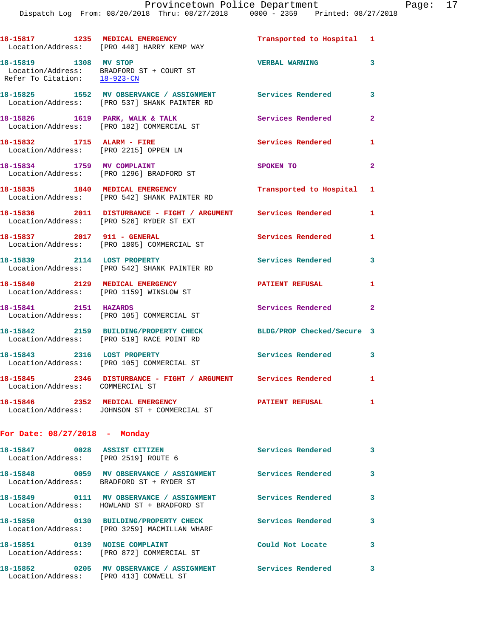|                                                                     | 18-15817 1235 MEDICAL EMERGENCY<br>Location/Address: [PRO 440] HARRY KEMP WAY                                        | Transported to Hospital 1  |                         |
|---------------------------------------------------------------------|----------------------------------------------------------------------------------------------------------------------|----------------------------|-------------------------|
| 18-15819 1308 MV STOP<br>Refer To Citation: 18-923-CN               | Location/Address: BRADFORD ST + COURT ST                                                                             | <b>VERBAL WARNING</b>      | 3                       |
|                                                                     | 18-15825 1552 MV OBSERVANCE / ASSIGNMENT Services Rendered 3<br>Location/Address: [PRO 537] SHANK PAINTER RD         |                            |                         |
|                                                                     | $18-15826$ 1619 PARK, WALK & TALK<br>Location/Address: [PRO 182] COMMERCIAL ST                                       | Services Rendered          | $\mathbf{2}$            |
| 18-15832 1715 ALARM - FIRE<br>Location/Address: [PRO 2215] OPPEN LN |                                                                                                                      | Services Rendered          | $\mathbf{1}$            |
|                                                                     | 18-15834 1759 MV COMPLAINT<br>Location/Address: [PRO 1296] BRADFORD ST                                               | SPOKEN TO                  | $\overline{2}$          |
|                                                                     | 18-15835 1840 MEDICAL EMERGENCY<br>Location/Address: [PRO 542] SHANK PAINTER RD                                      | Transported to Hospital 1  |                         |
|                                                                     | 18-15836 2011 DISTURBANCE - FIGHT / ARGUMENT Services Rendered<br>Location/Address: [PRO 526] RYDER ST EXT           |                            | $\mathbf{1}$            |
|                                                                     | 18-15837 2017 911 - GENERAL<br>Location/Address: [PRO 1805] COMMERCIAL ST                                            | Services Rendered          | $\mathbf{1}$            |
| 18-15839 2114 LOST PROPERTY                                         | Location/Address: [PRO 542] SHANK PAINTER RD                                                                         | <b>Services Rendered</b>   | $\overline{\mathbf{3}}$ |
|                                                                     | 18-15840 2129 MEDICAL EMERGENCY<br>Location/Address: [PRO 1159] WINSLOW ST                                           | <b>PATIENT REFUSAL</b>     | 1                       |
| 18-15841 2151 HAZARDS                                               | Location/Address: [PRO 105] COMMERCIAL ST                                                                            | Services Rendered 2        |                         |
|                                                                     | 18-15842 2159 BUILDING/PROPERTY CHECK<br>Location/Address: [PRO 519] RACE POINT RD                                   | BLDG/PROP Checked/Secure 3 |                         |
| 18-15843 2316 LOST PROPERTY                                         | Location/Address: [PRO 105] COMMERCIAL ST                                                                            | Services Rendered 3        |                         |
| Location/Address: COMMERCIAL ST                                     | 18-15845 2346 DISTURBANCE - FIGHT / ARGUMENT Services Rendered 1                                                     |                            |                         |
|                                                                     | 18-15846 2352 MEDICAL EMERGENCY<br>Location/Address: JOHNSON ST + COMMERCIAL ST                                      | <b>PATIENT REFUSAL</b>     | $\mathbf{1}$            |
| For Date: $08/27/2018$ - Monday                                     |                                                                                                                      |                            |                         |
| Location/Address: [PRO 2519] ROUTE 6                                |                                                                                                                      | Services Rendered          | 3                       |
|                                                                     | 18-15848 0059 MV OBSERVANCE / ASSIGNMENT Services Rendered<br>Location/Address: BRADFORD ST + RYDER ST               |                            | 3                       |
|                                                                     | 18-15849      0111   MV OBSERVANCE / ASSIGNMENT      Services Rendered<br>Location/Address: HOWLAND ST + BRADFORD ST |                            | 3                       |
|                                                                     | 18-15850 0130 BUILDING/PROPERTY CHECK<br>Location/Address: [PRO 3259] MACMILLAN WHARF                                | <b>Services Rendered</b>   | 3                       |
| 18-15851 0139 NOISE COMPLAINT                                       | Location/Address: [PRO 872] COMMERCIAL ST                                                                            | Could Not Locate           | 3                       |

**18-15852 0205 MV OBSERVANCE / ASSIGNMENT Services Rendered 3** 

Location/Address: [PRO 413] CONWELL ST